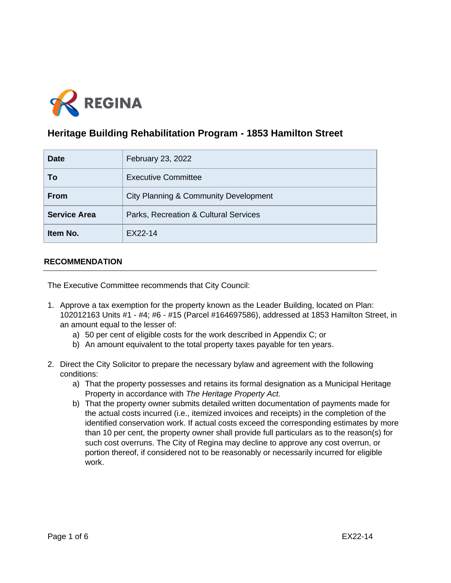

# **Heritage Building Rehabilitation Program - 1853 Hamilton Street**

| <b>Date</b>         | February 23, 2022                     |
|---------------------|---------------------------------------|
| To                  | <b>Executive Committee</b>            |
| <b>From</b>         | City Planning & Community Development |
| <b>Service Area</b> | Parks, Recreation & Cultural Services |
| Item No.            | EX22-14                               |

# **RECOMMENDATION**

The Executive Committee recommends that City Council:

- 1. Approve a tax exemption for the property known as the Leader Building, located on Plan: 102012163 Units #1 - #4; #6 - #15 (Parcel #164697586), addressed at 1853 Hamilton Street, in an amount equal to the lesser of:
	- a) 50 per cent of eligible costs for the work described in Appendix C; or
	- b) An amount equivalent to the total property taxes payable for ten years.
- 2. Direct the City Solicitor to prepare the necessary bylaw and agreement with the following conditions:
	- a) That the property possesses and retains its formal designation as a Municipal Heritage Property in accordance with *The Heritage Property Act.*
	- b) That the property owner submits detailed written documentation of payments made for the actual costs incurred (i.e., itemized invoices and receipts) in the completion of the identified conservation work. If actual costs exceed the corresponding estimates by more than 10 per cent, the property owner shall provide full particulars as to the reason(s) for such cost overruns. The City of Regina may decline to approve any cost overrun, or portion thereof, if considered not to be reasonably or necessarily incurred for eligible work.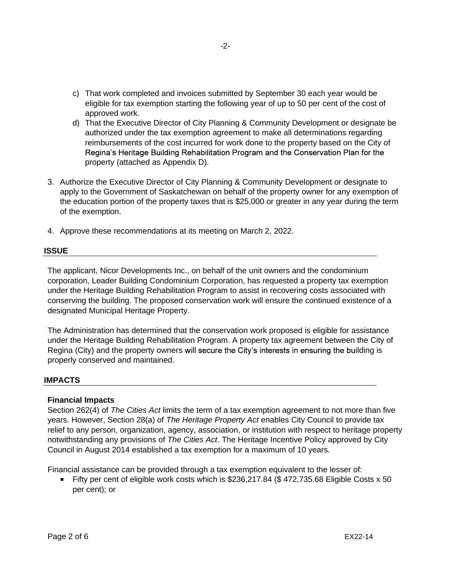- c) That work completed and invoices submitted by September 30 each year would be eligible for tax exemption starting the following year of up to 50 per cent of the cost of approved work.
- d) That the Executive Director of City Planning & Community Development or designate be authorized under the tax exemption agreement to make all determinations regarding reimbursements of the cost incurred for work done to the property based on the City of Regina's Heritage Building Rehabilitation Program and the Conservation Plan for the property (attached as Appendix D).
- 3. Authorize the Executive Director of City Planning & Community Development or designate to apply to the Government of Saskatchewan on behalf of the property owner for any exemption of the education portion of the property taxes that is \$25,000 or greater in any year during the term of the exemption.
- 4. Approve these recommendations at its meeting on March 2, 2022.

### **ISSUE**

The applicant, Nicor Developments Inc., on behalf of the unit owners and the condominium corporation, Leader Building Condominium Corporation, has requested a property tax exemption under the Heritage Building Rehabilitation Program to assist in recovering costs associated with conserving the building. The proposed conservation work will ensure the continued existence of a designated Municipal Heritage Property.

The Administration has determined that the conservation work proposed is eligible for assistance under the Heritage Building Rehabilitation Program. A property tax agreement between the City of Regina (City) and the property owners will secure the City's interests in ensuring the building is properly conserved and maintained.

### **IMPACTS**

# **Financial Impacts**

Section 262(4) of *The Cities Act* limits the term of a tax exemption agreement to not more than five years. However, Section 28(a) of *The Heritage Property Act* enables City Council to provide tax relief to any person, organization, agency, association, or institution with respect to heritage property notwithstanding any provisions of *The Cities Act*. The Heritage Incentive Policy approved by City Council in August 2014 established a tax exemption for a maximum of 10 years.

Financial assistance can be provided through a tax exemption equivalent to the lesser of:

Fifty per cent of eligible work costs which is  $$236,217.84$  (\$ 472,735.68 Eligible Costs x 50 per cent); or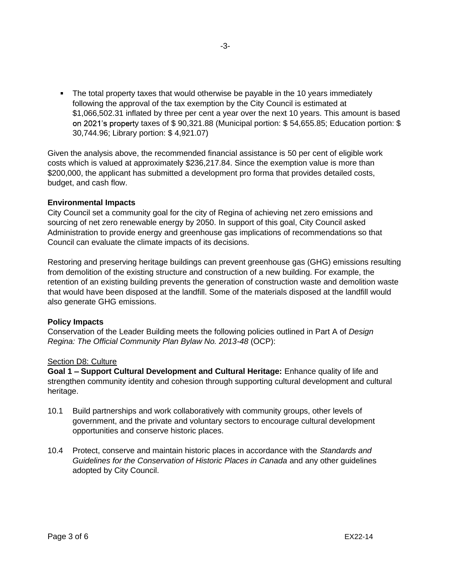The total property taxes that would otherwise be payable in the 10 years immediately following the approval of the tax exemption by the City Council is estimated at \$1,066,502.31 inflated by three per cent a year over the next 10 years. This amount is based on 2021's property taxes of  $$ 90,321.88$  (Municipal portion:  $$ 54,655.85$ ; Education portion:  $$$ 30,744.96; Library portion: \$ 4,921.07)

Given the analysis above, the recommended financial assistance is 50 per cent of eligible work costs which is valued at approximately \$236,217.84. Since the exemption value is more than \$200,000, the applicant has submitted a development pro forma that provides detailed costs, budget, and cash flow.

### **Environmental Impacts**

City Council set a community goal for the city of Regina of achieving net zero emissions and sourcing of net zero renewable energy by 2050. In support of this goal, City Council asked Administration to provide energy and greenhouse gas implications of recommendations so that Council can evaluate the climate impacts of its decisions.

Restoring and preserving heritage buildings can prevent greenhouse gas (GHG) emissions resulting from demolition of the existing structure and construction of a new building. For example, the retention of an existing building prevents the generation of construction waste and demolition waste that would have been disposed at the landfill. Some of the materials disposed at the landfill would also generate GHG emissions.

### **Policy Impacts**

Conservation of the Leader Building meets the following policies outlined in Part A of *Design Regina: The Official Community Plan Bylaw No. 2013-48* (OCP):

### Section D8: Culture

**Goal 1 – Support Cultural Development and Cultural Heritage: Enhance quality of life and** strengthen community identity and cohesion through supporting cultural development and cultural heritage.

- 10.1 Build partnerships and work collaboratively with community groups, other levels of government, and the private and voluntary sectors to encourage cultural development opportunities and conserve historic places.
- 10.4 Protect, conserve and maintain historic places in accordance with the *Standards and Guidelines for the Conservation of Historic Places in Canada* and any other guidelines adopted by City Council.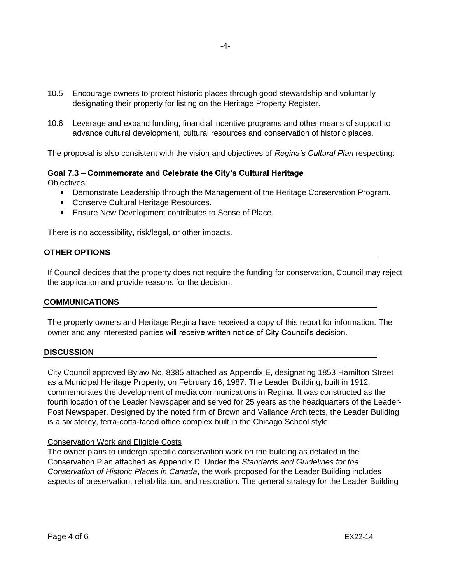- 10.5 Encourage owners to protect historic places through good stewardship and voluntarily designating their property for listing on the Heritage Property Register.
- 10.6 Leverage and expand funding, financial incentive programs and other means of support to advance cultural development, cultural resources and conservation of historic places.

The proposal is also consistent with the vision and objectives of Regina's Cultural Plan respecting:

# Goal 7.3 – Commemorate and Celebrate the City's Cultural Heritage

Objectives:

- **Demonstrate Leadership through the Management of the Heritage Conservation Program.**
- Conserve Cultural Heritage Resources.
- **Ensure New Development contributes to Sense of Place.**

There is no accessibility, risk/legal, or other impacts.

# **OTHER OPTIONS**

If Council decides that the property does not require the funding for conservation, Council may reject the application and provide reasons for the decision.

### **COMMUNICATIONS**

The property owners and Heritage Regina have received a copy of this report for information. The owner and any interested parties will receive written notice of City Council's decision.

### **DISCUSSION**

City Council approved Bylaw No. 8385 attached as Appendix E, designating 1853 Hamilton Street as a Municipal Heritage Property, on February 16, 1987. The Leader Building, built in 1912, commemorates the development of media communications in Regina. It was constructed as the fourth location of the Leader Newspaper and served for 25 years as the headquarters of the Leader-Post Newspaper. Designed by the noted firm of Brown and Vallance Architects, the Leader Building is a six storey, terra-cotta-faced office complex built in the Chicago School style.

# Conservation Work and Eligible Costs

The owner plans to undergo specific conservation work on the building as detailed in the Conservation Plan attached as Appendix D. Under the *Standards and Guidelines for the Conservation of Historic Places in Canada*, the work proposed for the Leader Building includes aspects of preservation, rehabilitation, and restoration. The general strategy for the Leader Building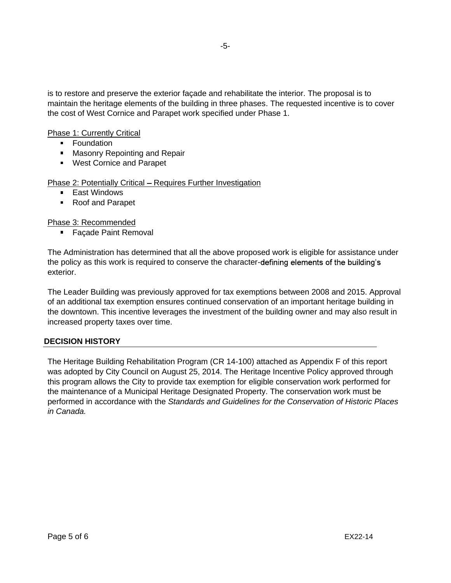is to restore and preserve the exterior façade and rehabilitate the interior. The proposal is to maintain the heritage elements of the building in three phases. The requested incentive is to cover the cost of West Cornice and Parapet work specified under Phase 1.

Phase 1: Currently Critical

- **Foundation**
- **Masonry Repointing and Repair**
- **West Cornice and Parapet**

Phase 2: Potentially Critical - Requires Further Investigation

- **East Windows**
- Roof and Parapet

Phase 3: Recommended

**Façade Paint Removal** 

The Administration has determined that all the above proposed work is eligible for assistance under the policy as this work is required to conserve the character-defining elements of the building's exterior.

The Leader Building was previously approved for tax exemptions between 2008 and 2015. Approval of an additional tax exemption ensures continued conservation of an important heritage building in the downtown. This incentive leverages the investment of the building owner and may also result in increased property taxes over time.

### **DECISION HISTORY**

The Heritage Building Rehabilitation Program (CR 14-100) attached as Appendix F of this report was adopted by City Council on August 25, 2014. The Heritage Incentive Policy approved through this program allows the City to provide tax exemption for eligible conservation work performed for the maintenance of a Municipal Heritage Designated Property. The conservation work must be performed in accordance with the *Standards and Guidelines for the Conservation of Historic Places in Canada.*